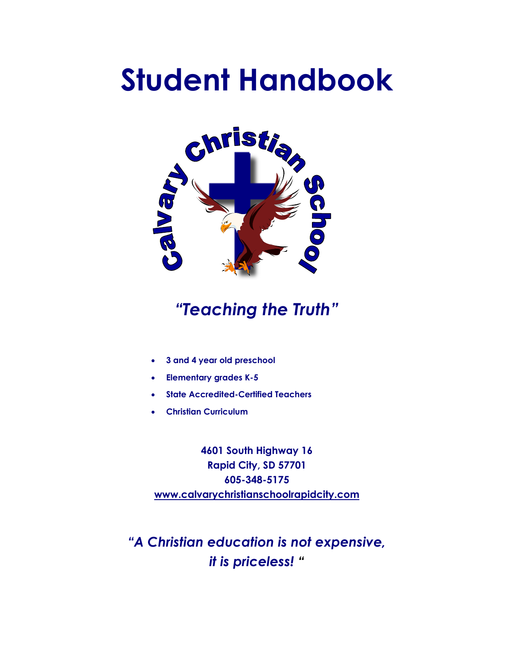# **Student Handbook**



## *"Teaching the Truth"*

- **3 and 4 year old preschool**
- **Elementary grades K-5**
- **State Accredited-Certified Teachers**
- **Christian Curriculum**

**4601 South Highway 16 Rapid City, SD 57701 605-348-5175 www.calvarychristianschoolrapidcity.com**

*"A Christian education is not expensive, it is priceless! "*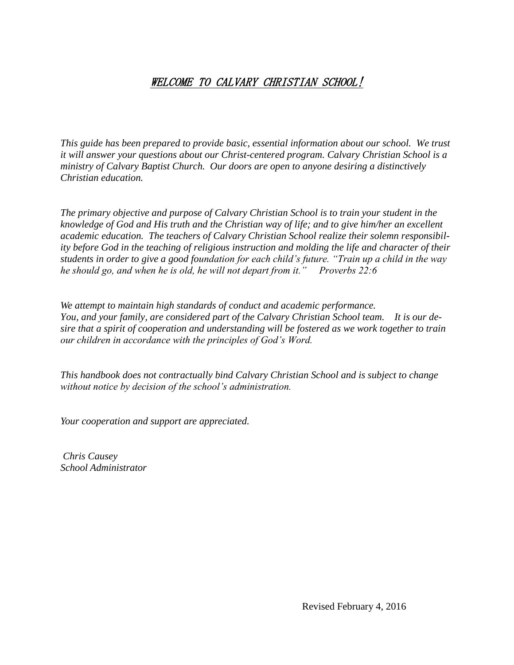### WELCOME TO CALVARY CHRISTIAN SCHOOL!

*This guide has been prepared to provide basic, essential information about our school. We trust it will answer your questions about our Christ-centered program. Calvary Christian School is a ministry of Calvary Baptist Church. Our doors are open to anyone desiring a distinctively Christian education.*

*The primary objective and purpose of Calvary Christian School is to train your student in the knowledge of God and His truth and the Christian way of life; and to give him/her an excellent academic education. The teachers of Calvary Christian School realize their solemn responsibility before God in the teaching of religious instruction and molding the life and character of their students in order to give a good foundation for each child's future. "Train up a child in the way he should go, and when he is old, he will not depart from it." Proverbs 22:6*

*We attempt to maintain high standards of conduct and academic performance. You, and your family, are considered part of the Calvary Christian School team. It is our desire that a spirit of cooperation and understanding will be fostered as we work together to train our children in accordance with the principles of God's Word.*

*This handbook does not contractually bind Calvary Christian School and is subject to change without notice by decision of the school's administration.*

*Your cooperation and support are appreciated.*

*Chris Causey School Administrator*

Revised February 4, 2016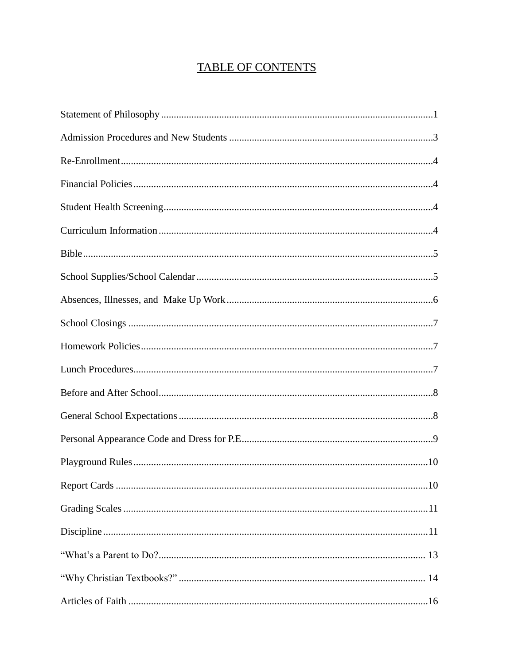## **TABLE OF CONTENTS**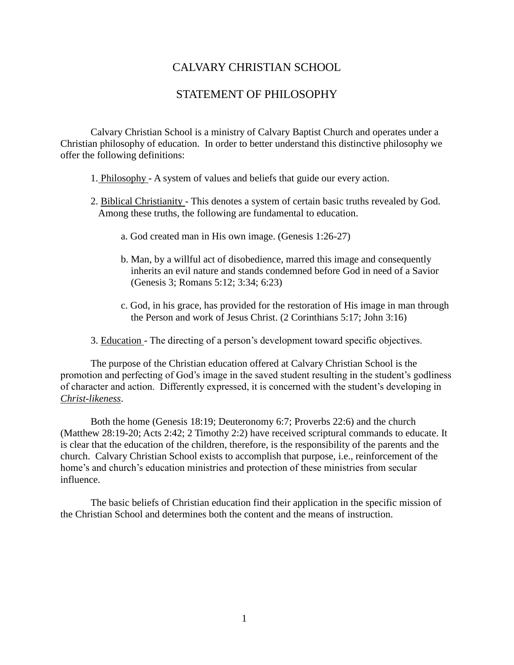#### CALVARY CHRISTIAN SCHOOL

#### STATEMENT OF PHILOSOPHY

Calvary Christian School is a ministry of Calvary Baptist Church and operates under a Christian philosophy of education. In order to better understand this distinctive philosophy we offer the following definitions:

- 1. Philosophy A system of values and beliefs that guide our every action.
- 2. Biblical Christianity This denotes a system of certain basic truths revealed by God. Among these truths, the following are fundamental to education.
	- a. God created man in His own image. (Genesis 1:26-27)
	- b. Man, by a willful act of disobedience, marred this image and consequently inherits an evil nature and stands condemned before God in need of a Savior (Genesis 3; Romans 5:12; 3:34; 6:23)
	- c. God, in his grace, has provided for the restoration of His image in man through the Person and work of Jesus Christ. (2 Corinthians 5:17; John 3:16)
- 3. Education The directing of a person's development toward specific objectives.

The purpose of the Christian education offered at Calvary Christian School is the promotion and perfecting of God's image in the saved student resulting in the student's godliness of character and action. Differently expressed, it is concerned with the student's developing in *Christ-likeness*.

Both the home (Genesis 18:19; Deuteronomy 6:7; Proverbs 22:6) and the church (Matthew 28:19-20; Acts 2:42; 2 Timothy 2:2) have received scriptural commands to educate. It is clear that the education of the children, therefore, is the responsibility of the parents and the church. Calvary Christian School exists to accomplish that purpose, i.e., reinforcement of the home's and church's education ministries and protection of these ministries from secular influence.

The basic beliefs of Christian education find their application in the specific mission of the Christian School and determines both the content and the means of instruction.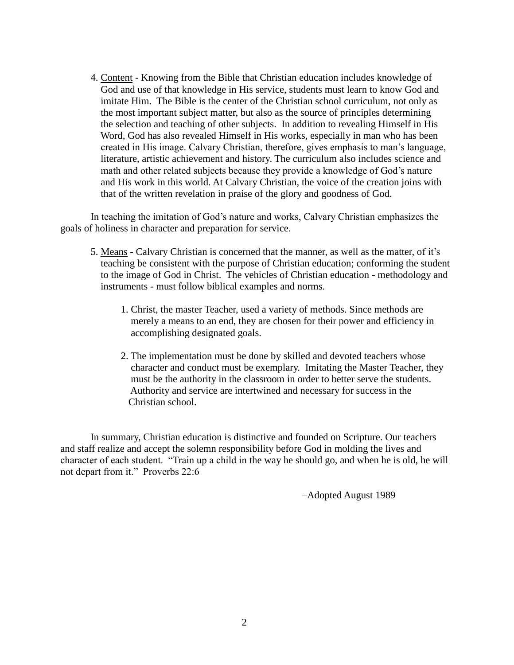4. Content - Knowing from the Bible that Christian education includes knowledge of God and use of that knowledge in His service, students must learn to know God and imitate Him. The Bible is the center of the Christian school curriculum, not only as the most important subject matter, but also as the source of principles determining the selection and teaching of other subjects. In addition to revealing Himself in His Word, God has also revealed Himself in His works, especially in man who has been created in His image. Calvary Christian, therefore, gives emphasis to man's language, literature, artistic achievement and history. The curriculum also includes science and math and other related subjects because they provide a knowledge of God's nature and His work in this world. At Calvary Christian, the voice of the creation joins with that of the written revelation in praise of the glory and goodness of God.

In teaching the imitation of God's nature and works, Calvary Christian emphasizes the goals of holiness in character and preparation for service.

- 5. Means Calvary Christian is concerned that the manner, as well as the matter, of it's teaching be consistent with the purpose of Christian education; conforming the student to the image of God in Christ. The vehicles of Christian education - methodology and instruments - must follow biblical examples and norms.
	- 1. Christ, the master Teacher, used a variety of methods. Since methods are merely a means to an end, they are chosen for their power and efficiency in accomplishing designated goals.
	- 2. The implementation must be done by skilled and devoted teachers whose character and conduct must be exemplary. Imitating the Master Teacher, they must be the authority in the classroom in order to better serve the students. Authority and service are intertwined and necessary for success in the Christian school.

In summary, Christian education is distinctive and founded on Scripture. Our teachers and staff realize and accept the solemn responsibility before God in molding the lives and character of each student. "Train up a child in the way he should go, and when he is old, he will not depart from it." Proverbs 22:6

–Adopted August 1989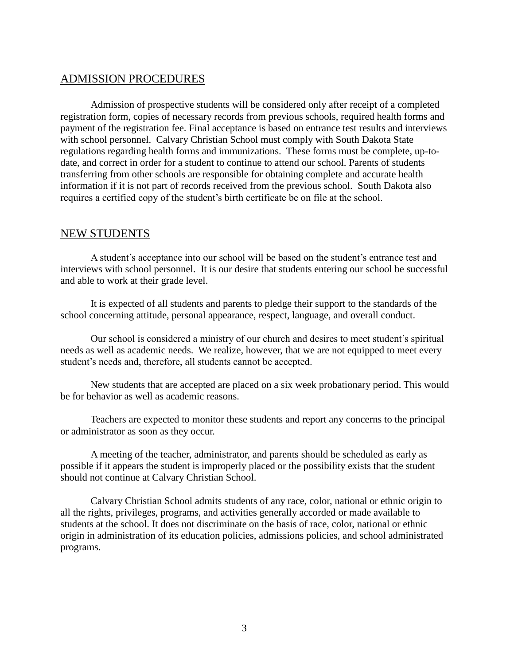#### ADMISSION PROCEDURES

Admission of prospective students will be considered only after receipt of a completed registration form, copies of necessary records from previous schools, required health forms and payment of the registration fee. Final acceptance is based on entrance test results and interviews with school personnel. Calvary Christian School must comply with South Dakota State regulations regarding health forms and immunizations. These forms must be complete, up-todate, and correct in order for a student to continue to attend our school. Parents of students transferring from other schools are responsible for obtaining complete and accurate health information if it is not part of records received from the previous school. South Dakota also requires a certified copy of the student's birth certificate be on file at the school.

#### NEW STUDENTS

A student's acceptance into our school will be based on the student's entrance test and interviews with school personnel. It is our desire that students entering our school be successful and able to work at their grade level.

It is expected of all students and parents to pledge their support to the standards of the school concerning attitude, personal appearance, respect, language, and overall conduct.

Our school is considered a ministry of our church and desires to meet student's spiritual needs as well as academic needs. We realize, however, that we are not equipped to meet every student's needs and, therefore, all students cannot be accepted.

New students that are accepted are placed on a six week probationary period. This would be for behavior as well as academic reasons.

Teachers are expected to monitor these students and report any concerns to the principal or administrator as soon as they occur.

A meeting of the teacher, administrator, and parents should be scheduled as early as possible if it appears the student is improperly placed or the possibility exists that the student should not continue at Calvary Christian School.

Calvary Christian School admits students of any race, color, national or ethnic origin to all the rights, privileges, programs, and activities generally accorded or made available to students at the school. It does not discriminate on the basis of race, color, national or ethnic origin in administration of its education policies, admissions policies, and school administrated programs.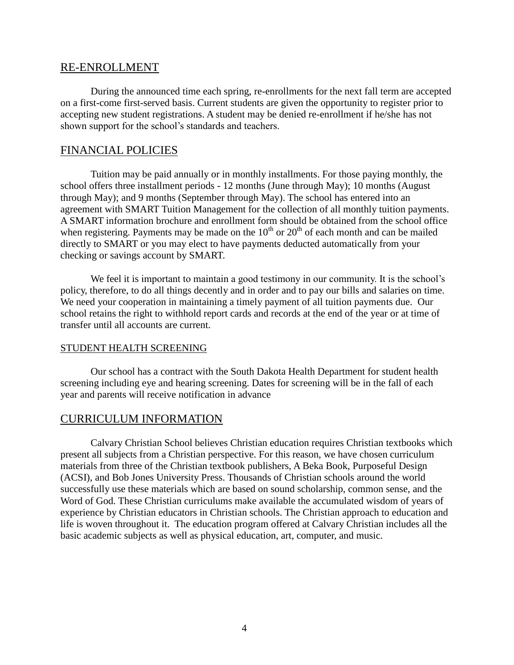#### RE-ENROLLMENT

During the announced time each spring, re-enrollments for the next fall term are accepted on a first-come first-served basis. Current students are given the opportunity to register prior to accepting new student registrations. A student may be denied re-enrollment if he/she has not shown support for the school's standards and teachers.

#### FINANCIAL POLICIES

Tuition may be paid annually or in monthly installments. For those paying monthly, the school offers three installment periods - 12 months (June through May); 10 months (August through May); and 9 months (September through May). The school has entered into an agreement with SMART Tuition Management for the collection of all monthly tuition payments. A SMART information brochure and enrollment form should be obtained from the school office when registering. Payments may be made on the  $10<sup>th</sup>$  or  $20<sup>th</sup>$  of each month and can be mailed directly to SMART or you may elect to have payments deducted automatically from your checking or savings account by SMART.

We feel it is important to maintain a good testimony in our community. It is the school's policy, therefore, to do all things decently and in order and to pay our bills and salaries on time. We need your cooperation in maintaining a timely payment of all tuition payments due. Our school retains the right to withhold report cards and records at the end of the year or at time of transfer until all accounts are current.

#### STUDENT HEALTH SCREENING

Our school has a contract with the South Dakota Health Department for student health screening including eye and hearing screening. Dates for screening will be in the fall of each year and parents will receive notification in advance

#### CURRICULUM INFORMATION

Calvary Christian School believes Christian education requires Christian textbooks which present all subjects from a Christian perspective. For this reason, we have chosen curriculum materials from three of the Christian textbook publishers, A Beka Book, Purposeful Design (ACSI), and Bob Jones University Press. Thousands of Christian schools around the world successfully use these materials which are based on sound scholarship, common sense, and the Word of God. These Christian curriculums make available the accumulated wisdom of years of experience by Christian educators in Christian schools. The Christian approach to education and life is woven throughout it. The education program offered at Calvary Christian includes all the basic academic subjects as well as physical education, art, computer, and music.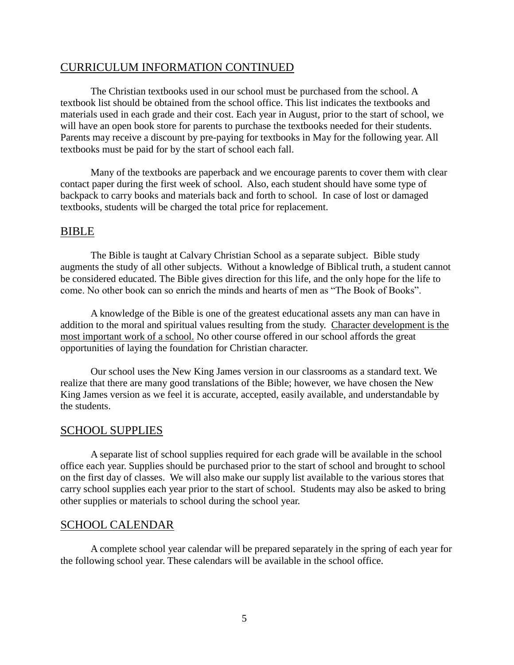#### CURRICULUM INFORMATION CONTINUED

The Christian textbooks used in our school must be purchased from the school. A textbook list should be obtained from the school office. This list indicates the textbooks and materials used in each grade and their cost. Each year in August, prior to the start of school, we will have an open book store for parents to purchase the textbooks needed for their students. Parents may receive a discount by pre-paying for textbooks in May for the following year. All textbooks must be paid for by the start of school each fall.

Many of the textbooks are paperback and we encourage parents to cover them with clear contact paper during the first week of school. Also, each student should have some type of backpack to carry books and materials back and forth to school. In case of lost or damaged textbooks, students will be charged the total price for replacement.

#### BIBLE

The Bible is taught at Calvary Christian School as a separate subject. Bible study augments the study of all other subjects. Without a knowledge of Biblical truth, a student cannot be considered educated. The Bible gives direction for this life, and the only hope for the life to come. No other book can so enrich the minds and hearts of men as "The Book of Books".

A knowledge of the Bible is one of the greatest educational assets any man can have in addition to the moral and spiritual values resulting from the study. Character development is the most important work of a school. No other course offered in our school affords the great opportunities of laying the foundation for Christian character.

Our school uses the New King James version in our classrooms as a standard text. We realize that there are many good translations of the Bible; however, we have chosen the New King James version as we feel it is accurate, accepted, easily available, and understandable by the students.

#### SCHOOL SUPPLIES

A separate list of school supplies required for each grade will be available in the school office each year. Supplies should be purchased prior to the start of school and brought to school on the first day of classes. We will also make our supply list available to the various stores that carry school supplies each year prior to the start of school. Students may also be asked to bring other supplies or materials to school during the school year.

#### SCHOOL CALENDAR

A complete school year calendar will be prepared separately in the spring of each year for the following school year. These calendars will be available in the school office.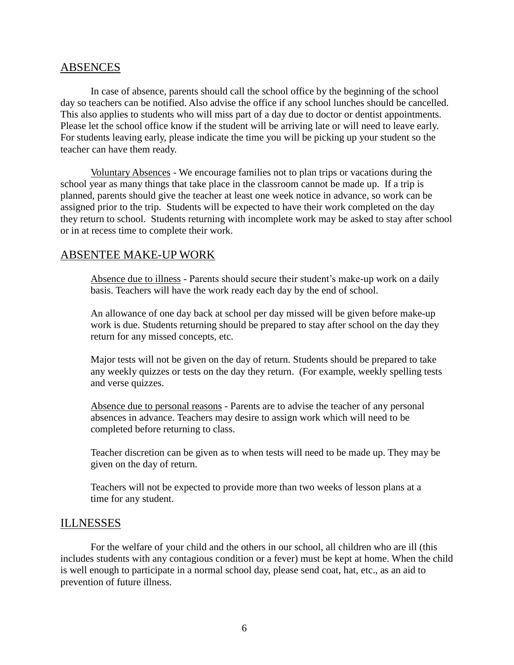#### ABSENCES

In case of absence, parents should call the school office by the beginning of the school day so teachers can be notified. Also advise the office if any school lunches should be cancelled. This also applies to students who will miss part of a day due to doctor or dentist appointments. Please let the school office know if the student will be arriving late or will need to leave early. For students leaving early, please indicate the time you will be picking up your student so the teacher can have them ready.

Voluntary Absences - We encourage families not to plan trips or vacations during the school year as many things that take place in the classroom cannot be made up. If a trip is planned, parents should give the teacher at least one week notice in advance, so work can be assigned prior to the trip. Students will be expected to have their work completed on the day they return to school. Students returning with incomplete work may be asked to stay after school or in at recess time to complete their work.

#### ABSENTEE MAKE-UP WORK

Absence due to illness - Parents should secure their student's make-up work on a daily basis. Teachers will have the work ready each day by the end of school.

An allowance of one day back at school per day missed will be given before make-up work is due. Students returning should be prepared to stay after school on the day they return for any missed concepts, etc.

Major tests will not be given on the day of return. Students should be prepared to take any weekly quizzes or tests on the day they return. (For example, weekly spelling tests and verse quizzes.

Absence due to personal reasons - Parents are to advise the teacher of any personal absences in advance. Teachers may desire to assign work which will need to be completed before returning to class.

Teacher discretion can be given as to when tests will need to be made up. They may be given on the day of return.

Teachers will not be expected to provide more than two weeks of lesson plans at a time for any student.

#### ILLNESSES

For the welfare of your child and the others in our school, all children who are ill (this includes students with any contagious condition or a fever) must be kept at home. When the child is well enough to participate in a normal school day, please send coat, hat, etc., as an aid to prevention of future illness.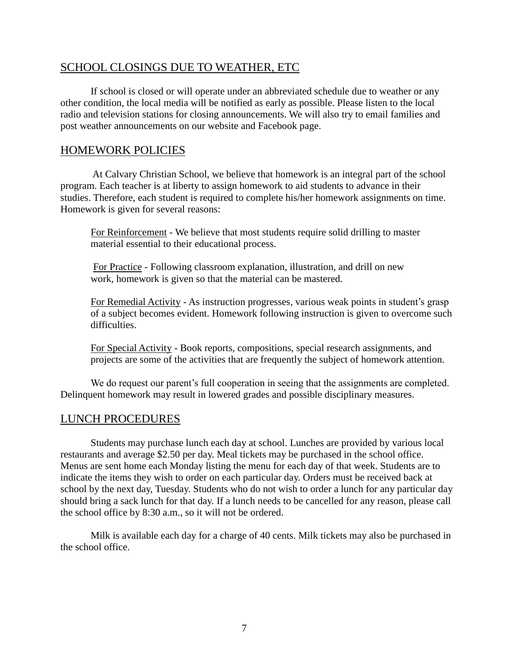#### SCHOOL CLOSINGS DUE TO WEATHER, ETC

If school is closed or will operate under an abbreviated schedule due to weather or any other condition, the local media will be notified as early as possible. Please listen to the local radio and television stations for closing announcements. We will also try to email families and post weather announcements on our website and Facebook page.

#### HOMEWORK POLICIES

At Calvary Christian School, we believe that homework is an integral part of the school program. Each teacher is at liberty to assign homework to aid students to advance in their studies. Therefore, each student is required to complete his/her homework assignments on time. Homework is given for several reasons:

For Reinforcement - We believe that most students require solid drilling to master material essential to their educational process.

For Practice - Following classroom explanation, illustration, and drill on new work, homework is given so that the material can be mastered.

For Remedial Activity - As instruction progresses, various weak points in student's grasp of a subject becomes evident. Homework following instruction is given to overcome such difficulties.

For Special Activity - Book reports, compositions, special research assignments, and projects are some of the activities that are frequently the subject of homework attention.

We do request our parent's full cooperation in seeing that the assignments are completed. Delinquent homework may result in lowered grades and possible disciplinary measures.

#### LUNCH PROCEDURES

Students may purchase lunch each day at school. Lunches are provided by various local restaurants and average \$2.50 per day. Meal tickets may be purchased in the school office. Menus are sent home each Monday listing the menu for each day of that week. Students are to indicate the items they wish to order on each particular day. Orders must be received back at school by the next day, Tuesday. Students who do not wish to order a lunch for any particular day should bring a sack lunch for that day. If a lunch needs to be cancelled for any reason, please call the school office by 8:30 a.m., so it will not be ordered.

Milk is available each day for a charge of 40 cents. Milk tickets may also be purchased in the school office.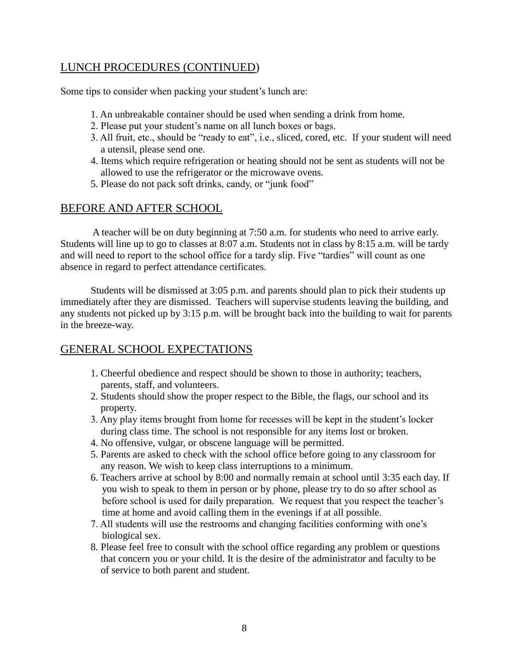#### LUNCH PROCEDURES (CONTINUED)

Some tips to consider when packing your student's lunch are:

- 1. An unbreakable container should be used when sending a drink from home.
- 2. Please put your student's name on all lunch boxes or bags.
- 3. All fruit, etc., should be "ready to eat", i.e., sliced, cored, etc. If your student will need a utensil, please send one.
- 4. Items which require refrigeration or heating should not be sent as students will not be allowed to use the refrigerator or the microwave ovens.
- 5. Please do not pack soft drinks, candy, or "junk food"

#### BEFORE AND AFTER SCHOOL

A teacher will be on duty beginning at 7:50 a.m. for students who need to arrive early. Students will line up to go to classes at 8:07 a.m. Students not in class by 8:15 a.m. will be tardy and will need to report to the school office for a tardy slip. Five "tardies" will count as one absence in regard to perfect attendance certificates.

Students will be dismissed at 3:05 p.m. and parents should plan to pick their students up immediately after they are dismissed. Teachers will supervise students leaving the building, and any students not picked up by 3:15 p.m. will be brought back into the building to wait for parents in the breeze-way.

#### GENERAL SCHOOL EXPECTATIONS

- 1. Cheerful obedience and respect should be shown to those in authority; teachers, parents, staff, and volunteers.
- 2. Students should show the proper respect to the Bible, the flags, our school and its property.
- 3. Any play items brought from home for recesses will be kept in the student's locker during class time. The school is not responsible for any items lost or broken.
- 4. No offensive, vulgar, or obscene language will be permitted.
- 5. Parents are asked to check with the school office before going to any classroom for any reason. We wish to keep class interruptions to a minimum.
- 6. Teachers arrive at school by 8:00 and normally remain at school until 3:35 each day. If you wish to speak to them in person or by phone, please try to do so after school as before school is used for daily preparation. We request that you respect the teacher's time at home and avoid calling them in the evenings if at all possible.
- 7. All students will use the restrooms and changing facilities conforming with one's biological sex.
- 8. Please feel free to consult with the school office regarding any problem or questions that concern you or your child. It is the desire of the administrator and faculty to be of service to both parent and student.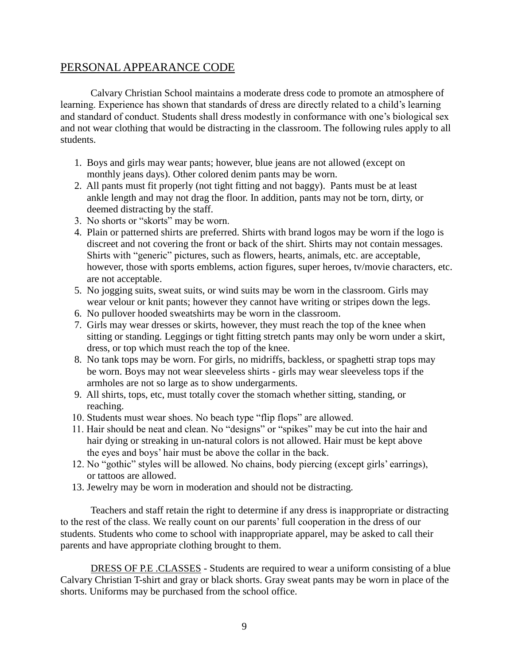#### PERSONAL APPEARANCE CODE

Calvary Christian School maintains a moderate dress code to promote an atmosphere of learning. Experience has shown that standards of dress are directly related to a child's learning and standard of conduct. Students shall dress modestly in conformance with one's biological sex and not wear clothing that would be distracting in the classroom. The following rules apply to all students.

- 1. Boys and girls may wear pants; however, blue jeans are not allowed (except on monthly jeans days). Other colored denim pants may be worn.
- 2. All pants must fit properly (not tight fitting and not baggy). Pants must be at least ankle length and may not drag the floor. In addition, pants may not be torn, dirty, or deemed distracting by the staff.
- 3. No shorts or "skorts" may be worn.
- 4. Plain or patterned shirts are preferred. Shirts with brand logos may be worn if the logo is discreet and not covering the front or back of the shirt. Shirts may not contain messages. Shirts with "generic" pictures, such as flowers, hearts, animals, etc. are acceptable, however, those with sports emblems, action figures, super heroes, tv/movie characters, etc. are not acceptable.
- 5. No jogging suits, sweat suits, or wind suits may be worn in the classroom. Girls may wear velour or knit pants; however they cannot have writing or stripes down the legs.
- 6. No pullover hooded sweatshirts may be worn in the classroom.
- 7. Girls may wear dresses or skirts, however, they must reach the top of the knee when sitting or standing. Leggings or tight fitting stretch pants may only be worn under a skirt, dress, or top which must reach the top of the knee.
- 8. No tank tops may be worn. For girls, no midriffs, backless, or spaghetti strap tops may be worn. Boys may not wear sleeveless shirts - girls may wear sleeveless tops if the armholes are not so large as to show undergarments.
- 9. All shirts, tops, etc, must totally cover the stomach whether sitting, standing, or reaching.
- 10. Students must wear shoes. No beach type "flip flops" are allowed.
- 11. Hair should be neat and clean. No "designs" or "spikes" may be cut into the hair and hair dying or streaking in un-natural colors is not allowed. Hair must be kept above the eyes and boys' hair must be above the collar in the back.
- 12. No "gothic" styles will be allowed. No chains, body piercing (except girls' earrings), or tattoos are allowed.
- 13. Jewelry may be worn in moderation and should not be distracting.

Teachers and staff retain the right to determine if any dress is inappropriate or distracting to the rest of the class. We really count on our parents' full cooperation in the dress of our students. Students who come to school with inappropriate apparel, may be asked to call their parents and have appropriate clothing brought to them.

DRESS OF P.E .CLASSES - Students are required to wear a uniform consisting of a blue Calvary Christian T-shirt and gray or black shorts. Gray sweat pants may be worn in place of the shorts. Uniforms may be purchased from the school office.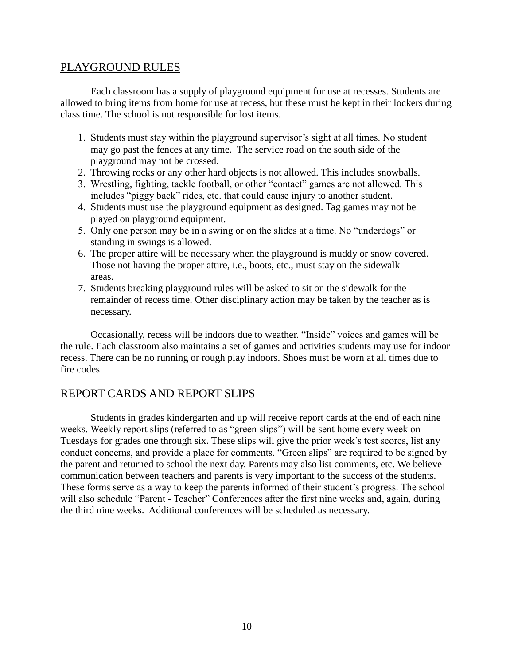#### PLAYGROUND RULES

Each classroom has a supply of playground equipment for use at recesses. Students are allowed to bring items from home for use at recess, but these must be kept in their lockers during class time. The school is not responsible for lost items.

- 1. Students must stay within the playground supervisor's sight at all times. No student may go past the fences at any time. The service road on the south side of the playground may not be crossed.
- 2. Throwing rocks or any other hard objects is not allowed. This includes snowballs.
- 3. Wrestling, fighting, tackle football, or other "contact" games are not allowed. This includes "piggy back" rides, etc. that could cause injury to another student.
- 4. Students must use the playground equipment as designed. Tag games may not be played on playground equipment.
- 5. Only one person may be in a swing or on the slides at a time. No "underdogs" or standing in swings is allowed.
- 6. The proper attire will be necessary when the playground is muddy or snow covered. Those not having the proper attire, i.e., boots, etc., must stay on the sidewalk areas.
- 7. Students breaking playground rules will be asked to sit on the sidewalk for the remainder of recess time. Other disciplinary action may be taken by the teacher as is necessary.

Occasionally, recess will be indoors due to weather. "Inside" voices and games will be the rule. Each classroom also maintains a set of games and activities students may use for indoor recess. There can be no running or rough play indoors. Shoes must be worn at all times due to fire codes.

#### REPORT CARDS AND REPORT SLIPS

Students in grades kindergarten and up will receive report cards at the end of each nine weeks. Weekly report slips (referred to as "green slips") will be sent home every week on Tuesdays for grades one through six. These slips will give the prior week's test scores, list any conduct concerns, and provide a place for comments. "Green slips" are required to be signed by the parent and returned to school the next day. Parents may also list comments, etc. We believe communication between teachers and parents is very important to the success of the students. These forms serve as a way to keep the parents informed of their student's progress. The school will also schedule "Parent - Teacher" Conferences after the first nine weeks and, again, during the third nine weeks. Additional conferences will be scheduled as necessary.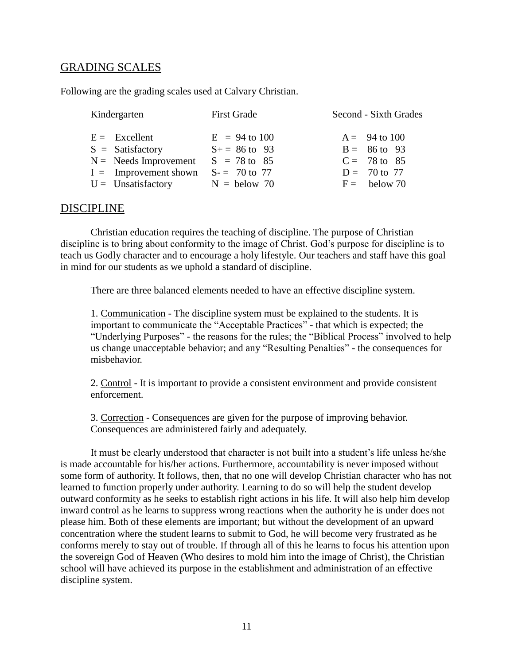#### GRADING SCALES

Following are the grading scales used at Calvary Christian.

| Kindergarten |                         | <b>First Grade</b> | Second - Sixth Grades |  |
|--------------|-------------------------|--------------------|-----------------------|--|
|              | $E =$ Excellent         | $E = 94$ to 100    | $A = 94$ to 100       |  |
|              | $S =$ Satisfactory      | $S_+ = 86$ to 93   | $B = 86$ to 93        |  |
|              | $N =$ Needs Improvement | $S = 78$ to 85     | $C = 78$ to 85        |  |
|              | $I =$ Improvement shown | $S = 70$ to 77     | $D = 70$ to 77        |  |
|              | $U =$ Unsatisfactory    | $N =$ below 70     | $F =$ below 70        |  |

#### DISCIPLINE

Christian education requires the teaching of discipline. The purpose of Christian discipline is to bring about conformity to the image of Christ. God's purpose for discipline is to teach us Godly character and to encourage a holy lifestyle. Our teachers and staff have this goal in mind for our students as we uphold a standard of discipline.

There are three balanced elements needed to have an effective discipline system.

1. Communication - The discipline system must be explained to the students. It is important to communicate the "Acceptable Practices" - that which is expected; the "Underlying Purposes" - the reasons for the rules; the "Biblical Process" involved to help us change unacceptable behavior; and any "Resulting Penalties" - the consequences for misbehavior.

2. Control - It is important to provide a consistent environment and provide consistent enforcement.

3. Correction - Consequences are given for the purpose of improving behavior. Consequences are administered fairly and adequately.

It must be clearly understood that character is not built into a student's life unless he/she is made accountable for his/her actions. Furthermore, accountability is never imposed without some form of authority. It follows, then, that no one will develop Christian character who has not learned to function properly under authority. Learning to do so will help the student develop outward conformity as he seeks to establish right actions in his life. It will also help him develop inward control as he learns to suppress wrong reactions when the authority he is under does not please him. Both of these elements are important; but without the development of an upward concentration where the student learns to submit to God, he will become very frustrated as he conforms merely to stay out of trouble. If through all of this he learns to focus his attention upon the sovereign God of Heaven (Who desires to mold him into the image of Christ), the Christian school will have achieved its purpose in the establishment and administration of an effective discipline system.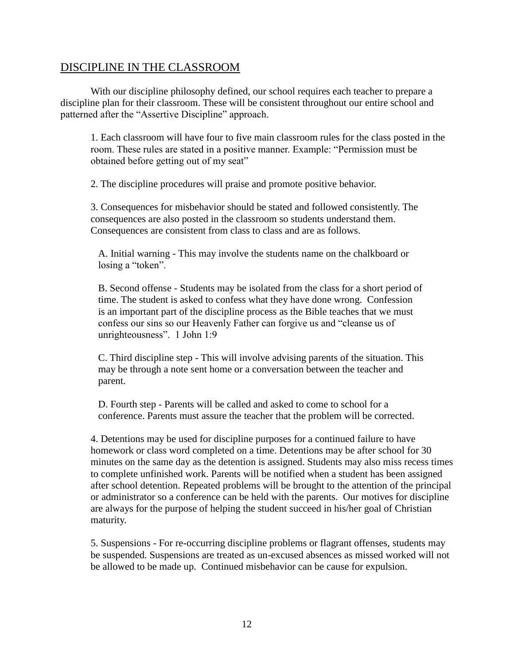#### DISCIPLINE IN THE CLASSROOM

With our discipline philosophy defined, our school requires each teacher to prepare a discipline plan for their classroom. These will be consistent throughout our entire school and patterned after the "Assertive Discipline" approach.

1. Each classroom will have four to five main classroom rules for the class posted in the room. These rules are stated in a positive manner. Example: "Permission must be obtained before getting out of my seat"

2. The discipline procedures will praise and promote positive behavior.

3. Consequences for misbehavior should be stated and followed consistently. The consequences are also posted in the classroom so students understand them. Consequences are consistent from class to class and are as follows.

A. Initial warning - This may involve the students name on the chalkboard or losing a "token".

B. Second offense - Students may be isolated from the class for a short period of time. The student is asked to confess what they have done wrong. Confession is an important part of the discipline process as the Bible teaches that we must confess our sins so our Heavenly Father can forgive us and "cleanse us of unrighteousness". 1 John 1:9

C. Third discipline step - This will involve advising parents of the situation. This may be through a note sent home or a conversation between the teacher and parent.

D. Fourth step - Parents will be called and asked to come to school for a conference. Parents must assure the teacher that the problem will be corrected.

4. Detentions may be used for discipline purposes for a continued failure to have homework or class word completed on a time. Detentions may be after school for 30 minutes on the same day as the detention is assigned. Students may also miss recess times to complete unfinished work. Parents will be notified when a student has been assigned after school detention. Repeated problems will be brought to the attention of the principal or administrator so a conference can be held with the parents. Our motives for discipline are always for the purpose of helping the student succeed in his/her goal of Christian maturity.

5. Suspensions - For re-occurring discipline problems or flagrant offenses, students may be suspended. Suspensions are treated as un-excused absences as missed worked will not be allowed to be made up. Continued misbehavior can be cause for expulsion.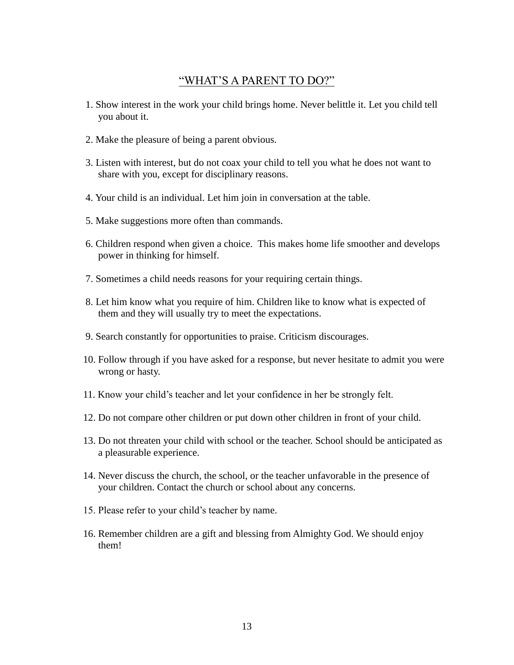#### "WHAT'S A PARENT TO DO?"

- 1. Show interest in the work your child brings home. Never belittle it. Let you child tell you about it.
- 2. Make the pleasure of being a parent obvious.
- 3. Listen with interest, but do not coax your child to tell you what he does not want to share with you, except for disciplinary reasons.
- 4. Your child is an individual. Let him join in conversation at the table.
- 5. Make suggestions more often than commands.
- 6. Children respond when given a choice. This makes home life smoother and develops power in thinking for himself.
- 7. Sometimes a child needs reasons for your requiring certain things.
- 8. Let him know what you require of him. Children like to know what is expected of them and they will usually try to meet the expectations.
- 9. Search constantly for opportunities to praise. Criticism discourages.
- 10. Follow through if you have asked for a response, but never hesitate to admit you were wrong or hasty.
- 11. Know your child's teacher and let your confidence in her be strongly felt.
- 12. Do not compare other children or put down other children in front of your child.
- 13. Do not threaten your child with school or the teacher. School should be anticipated as a pleasurable experience.
- 14. Never discuss the church, the school, or the teacher unfavorable in the presence of your children. Contact the church or school about any concerns.
- 15. Please refer to your child's teacher by name.
- 16. Remember children are a gift and blessing from Almighty God. We should enjoy them!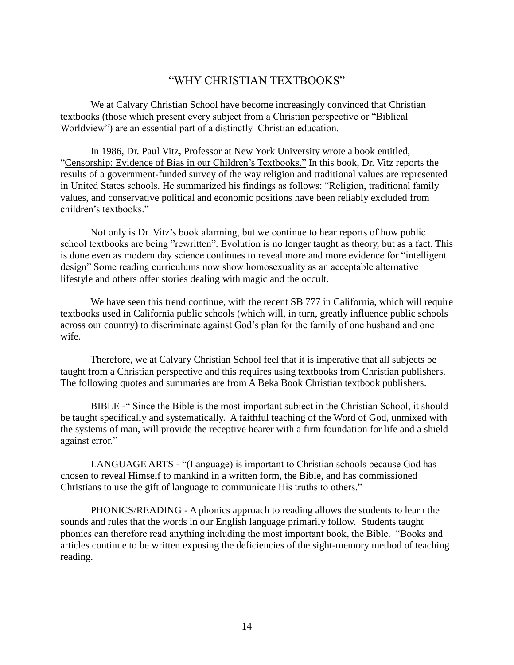#### "WHY CHRISTIAN TEXTBOOKS"

We at Calvary Christian School have become increasingly convinced that Christian textbooks (those which present every subject from a Christian perspective or "Biblical Worldview") are an essential part of a distinctly Christian education.

In 1986, Dr. Paul Vitz, Professor at New York University wrote a book entitled, "Censorship: Evidence of Bias in our Children's Textbooks." In this book, Dr. Vitz reports the results of a government-funded survey of the way religion and traditional values are represented in United States schools. He summarized his findings as follows: "Religion, traditional family values, and conservative political and economic positions have been reliably excluded from children's textbooks."

Not only is Dr. Vitz's book alarming, but we continue to hear reports of how public school textbooks are being "rewritten". Evolution is no longer taught as theory, but as a fact. This is done even as modern day science continues to reveal more and more evidence for "intelligent design" Some reading curriculums now show homosexuality as an acceptable alternative lifestyle and others offer stories dealing with magic and the occult.

We have seen this trend continue, with the recent SB 777 in California, which will require textbooks used in California public schools (which will, in turn, greatly influence public schools across our country) to discriminate against God's plan for the family of one husband and one wife.

Therefore, we at Calvary Christian School feel that it is imperative that all subjects be taught from a Christian perspective and this requires using textbooks from Christian publishers. The following quotes and summaries are from A Beka Book Christian textbook publishers.

BIBLE -" Since the Bible is the most important subject in the Christian School, it should be taught specifically and systematically. A faithful teaching of the Word of God, unmixed with the systems of man, will provide the receptive hearer with a firm foundation for life and a shield against error."

LANGUAGE ARTS - "(Language) is important to Christian schools because God has chosen to reveal Himself to mankind in a written form, the Bible, and has commissioned Christians to use the gift of language to communicate His truths to others."

PHONICS/READING - A phonics approach to reading allows the students to learn the sounds and rules that the words in our English language primarily follow. Students taught phonics can therefore read anything including the most important book, the Bible. "Books and articles continue to be written exposing the deficiencies of the sight-memory method of teaching reading.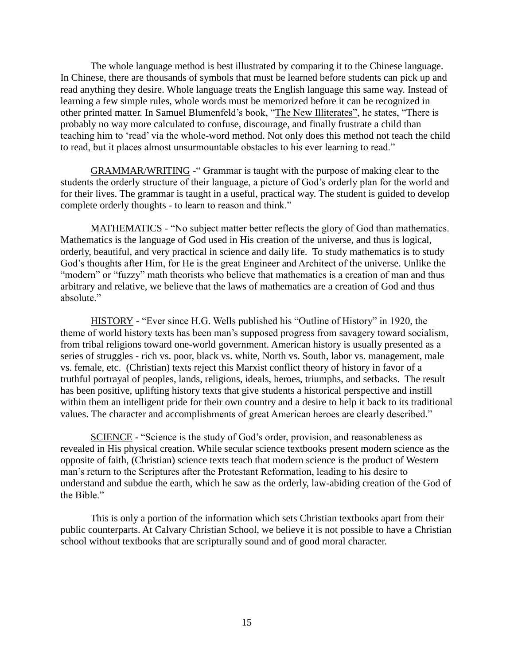The whole language method is best illustrated by comparing it to the Chinese language. In Chinese, there are thousands of symbols that must be learned before students can pick up and read anything they desire. Whole language treats the English language this same way. Instead of learning a few simple rules, whole words must be memorized before it can be recognized in other printed matter. In Samuel Blumenfeld's book, "The New Illiterates", he states, "There is probably no way more calculated to confuse, discourage, and finally frustrate a child than teaching him to 'read' via the whole-word method. Not only does this method not teach the child to read, but it places almost unsurmountable obstacles to his ever learning to read."

GRAMMAR/WRITING -" Grammar is taught with the purpose of making clear to the students the orderly structure of their language, a picture of God's orderly plan for the world and for their lives. The grammar is taught in a useful, practical way. The student is guided to develop complete orderly thoughts - to learn to reason and think."

MATHEMATICS - "No subject matter better reflects the glory of God than mathematics. Mathematics is the language of God used in His creation of the universe, and thus is logical, orderly, beautiful, and very practical in science and daily life. To study mathematics is to study God's thoughts after Him, for He is the great Engineer and Architect of the universe. Unlike the "modern" or "fuzzy" math theorists who believe that mathematics is a creation of man and thus arbitrary and relative, we believe that the laws of mathematics are a creation of God and thus absolute."

HISTORY - "Ever since H.G. Wells published his "Outline of History" in 1920, the theme of world history texts has been man's supposed progress from savagery toward socialism, from tribal religions toward one-world government. American history is usually presented as a series of struggles - rich vs. poor, black vs. white, North vs. South, labor vs. management, male vs. female, etc. (Christian) texts reject this Marxist conflict theory of history in favor of a truthful portrayal of peoples, lands, religions, ideals, heroes, triumphs, and setbacks. The result has been positive, uplifting history texts that give students a historical perspective and instill within them an intelligent pride for their own country and a desire to help it back to its traditional values. The character and accomplishments of great American heroes are clearly described."

SCIENCE - "Science is the study of God's order, provision, and reasonableness as revealed in His physical creation. While secular science textbooks present modern science as the opposite of faith, (Christian) science texts teach that modern science is the product of Western man's return to the Scriptures after the Protestant Reformation, leading to his desire to understand and subdue the earth, which he saw as the orderly, law-abiding creation of the God of the Bible."

This is only a portion of the information which sets Christian textbooks apart from their public counterparts. At Calvary Christian School, we believe it is not possible to have a Christian school without textbooks that are scripturally sound and of good moral character.